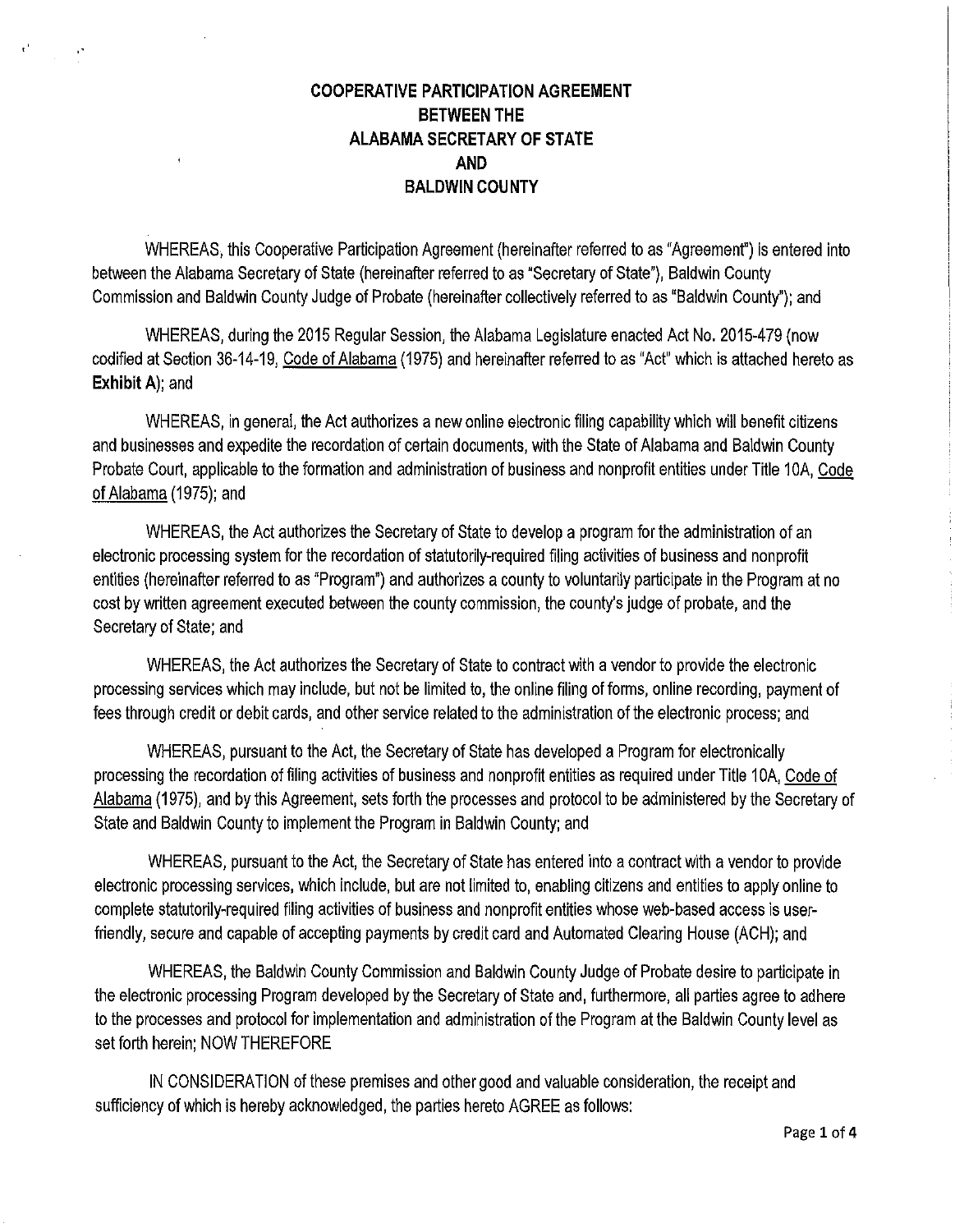# **COOPERATIVE PARTICIPATION AGREEMENT BETWEEN THE ALABAMA SECRETARY OF STATE AND BALDWIN COUNTY**

 $\mathcal{A}^{\mathcal{A}}$ 

WHEREAS, this Cooperative Participation Agreement (hereinafter referred to as "Agreement") is entered into between the Alabama Secretary of State (hereinafter referred to as "Secretary of State"), Baldwin County Commission and Baldwin County Judge of Probate (hereinafter collectively referred to as "Baldwin County"); and

WHEREAS, during the 2015 Regular Session, the Alabama Legislature enacted Act No. 2015-479 (now codified at Section 36-14-19, Code of Alabama (1975) and hereinafter referred to as "Act" which is attached hereto as **Exhibit A);** and

WHEREAS, in general, the Act authorizes a new online electronic filing capability which will benefit citizens and businesses and expedite the recordation of certain documents, with the State of Alabama and Baldwin County Probate Court, applicable to the formation and administration of business and nonprofit entities under Title 10A, Code of Alabama (1975); and

WHEREAS, the Act authorizes the Secretary of State to develop a program for the administration of an electronic processing system for the recordation of statutorily-required filing activities of business and nonprofit entities (hereinafter referred to as "Program") and authorizes a county to voluntarily participate in the Program at no cost by written agreement executed between the county commission, the county's judge of probate, and the Secretary of State; and

WHEREAS, the Act authorizes the Secretary of State to contract with a vendor to provide the electronic processing services which may include, but not be limited to, the online filing of forms, online recording, payment of fees through credit or debit cards, and other service related to the administration of the electronic process; and

WHEREAS, pursuant to the Act, the Secretary of State has developed a Program for electronically processing the recordation of filing activities of business and nonprofit entities as required under Title 10A, Code of Alabama (1975), and by this Agreement, sets forth the processes and protocol to be administered by the Secretary of State and Baldwin County to implement the Program in Baldwin County; and

WHEREAS, pursuant to the Act, the Secretary of State has entered into a contract with a vendor to provide electronic processing services, which include, but are not limited to, enabling citizens and entities to apply online to complete statutorily-required filing activities of business and nonprofit entities whose web-based access is userfriendly, secure and capable of accepting payments by credit card and Automated Clearing House (ACH); and

WHEREAS, the Baldwin County Commission and Baldwin County Judge of Probate desire to participate in the electronic processing Program developed by the Secretary of State and, furthermore, all parties agree to adhere to the processes and protocol for implementation and administration of the Program at the Baldwin County level as set forth herein; NOW THEREFORE

IN CONSIDERATION of these premises and other good and valuable consideration, the receipt and sufficiency of which is hereby acknowledged, the parties hereto AGREE as follows: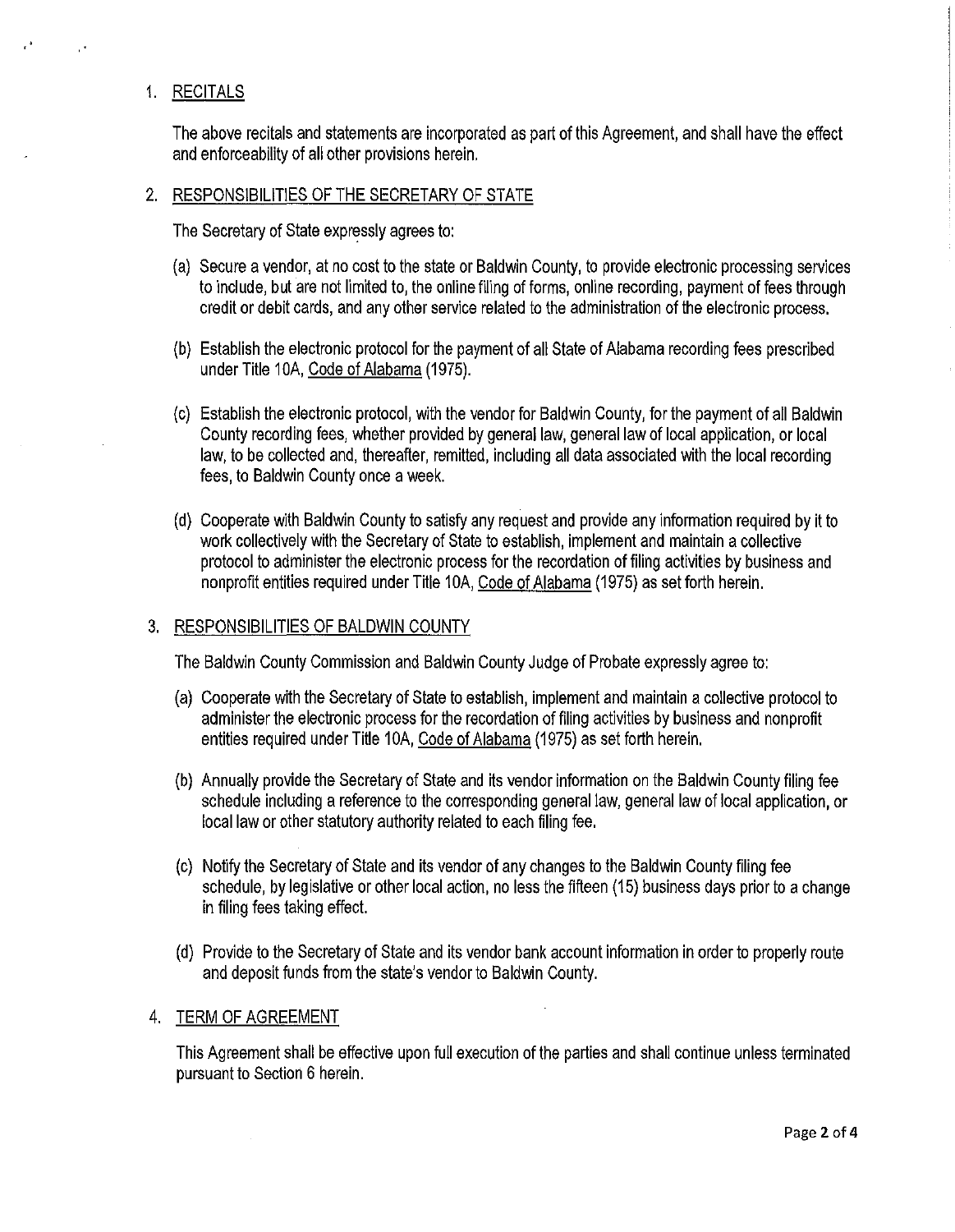## 1. RECITALS

The above recitals and statements are incorporated as part of this Agreement, and shall have the effect and enforceability of all other provisions herein.

#### 2. RESPONSIBILITIES OF THE SECRETARY OF STATE

The Secretary of State expressly agrees to:

- (a) Secure a vendor, at no cost to the state or Baldwin County, to provide electronic processing services to include, but are not limited to, the online filing of forms, online recording, payment of fees through credit or debit cards, and any other service related to the administration of the electronic process.
- (b) Establish the electronic protocol for the payment of all State of Alabama recording fees prescribed under Title 10A, Code of Alabama (1975).
- (c) Establish the electronic protocol, with the vendor for Baldwin County, for the payment of all Baldwin County recording fees, whether provided by general law, general law of local application, or local law, to be collected and, thereafter, remitted, including all data associated with the local recording fees, to Baldwin County once a week.
- (d) Cooperate with Baldwin County to satisfy any request and provide any information required by it to work collectively with the Secretary of State to establish, implement and maintain a collective protocol to administer the electronic process for the recordation of filing activities by business and nonprofit entities required under Title 10A, Code of Alabama (1975) as set forth herein.

#### 3. RESPONSIBILITIES OF BALDWIN COUNTY

The Baldwin County Commission and Baldwin County Judge of Probate expressly agree to:

- (a) Cooperate with the Secretary of State to establish, implement and maintain a collective protocol to administer the electronic process for the recordation of filing activities by business and nonprofit entities required under Title 10A, Code of Alabama (1975) as set forth herein.
- (b) Annually provide the Secretary of State and its vendor information on the Baldwin County filing fee schedule including a reference to the corresponding general law, general law of local application, or local law or other statutory authority related to each filing fee.
- (c) Notify the Secretary of State and its vendor of any changes to the Baldwin County filing fee schedule, by legislative or other local action, no less the fifteen (15) business days prior to a change in filing fees taking effect.
- (d) Provide to the Secretary of State and its vendor bank account information in order to properly route and deposit funds from the state's vendor to Baldwin County.

#### 4. TERM OF AGREEMENT

This Agreement shall be effective upon full execution of the parties and shall continue unless terminated pursuant to Section 6 herein.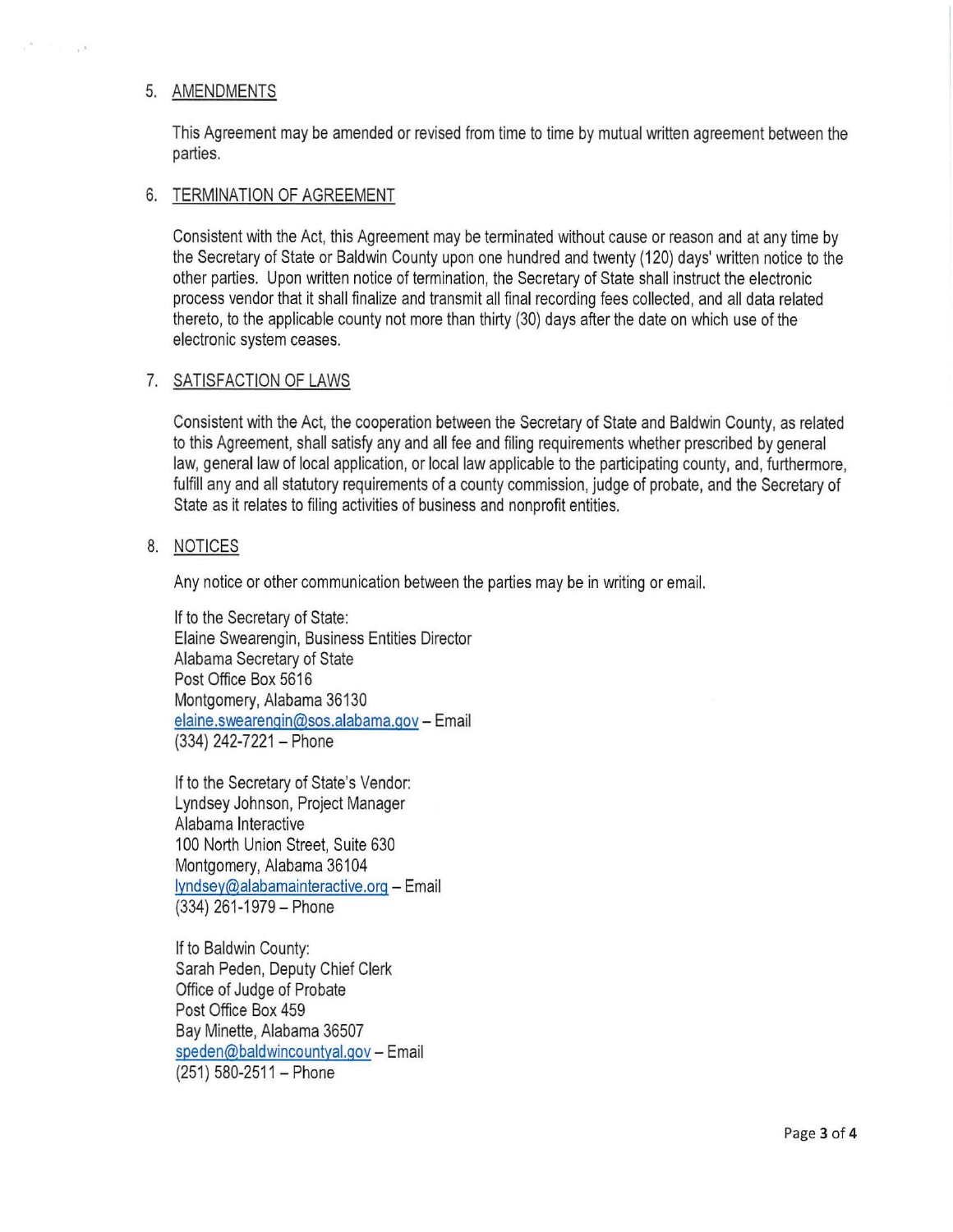#### 5. AMENDMENTS

- 17

This Agreement may be amended or revised from time to time by mutual written agreement between the parties.

#### 6. TERMINATION OF AGREEMENT

Consistent with the Act, this Agreement may be terminated without cause or reason and at any time by the Secretary of State or Baldwin County upon one hundred and twenty (120) days' written notice to the other parties. Upon written notice of termination, the Secretary of State shall instruct the electronic process vendor that it shall finalize and transmit all final recording fees collected, and all data related thereto, to the applicable county not more than thirty (30) days after the date on which use of the electronic system ceases.

## 7. SATISFACTION OF LAWS

Consistent with the Act, the cooperation between the Secretary of State and Baldwin County, as related to this Agreement, shall satisfy any and all fee and filing requirements whether prescribed by general law, general law of local application, or local law applicable to the participating county, and, furthermore, fulfill any and all statutory requirements of a county commission, judge of probate, and the Secretary of State as it relates to filing activities of business and nonprofit entities.

## 8. NOTICES

Any notice or other communication between the parties may be in writing or email.

If to the Secretary of State: Elaine Swearengin, Business Entities Director Alabama Secretary of State Post Office Box 5616 Montgomery, Alabama 36130 elaine.swearengin@sos.alabama.gov - Email (334) 242-7221 - Phone

If to the Secretary of State's Vendor: Lyndsey Johnson, Project Manager Alabama Interactive 100 North Union Street, Suite 630 Montgomery, Alabama 36104 lyndsey@alabamainteractive.org - Email (334) 261-1979-Phone

If to Baldwin County: Sarah Peden, Deputy Chief Clerk Office of Judge of Probate Post Office Box 459 Bay Minette, Alabama 36507 speden@baldwincountyal.gov - Email (251) 580-2511 - Phone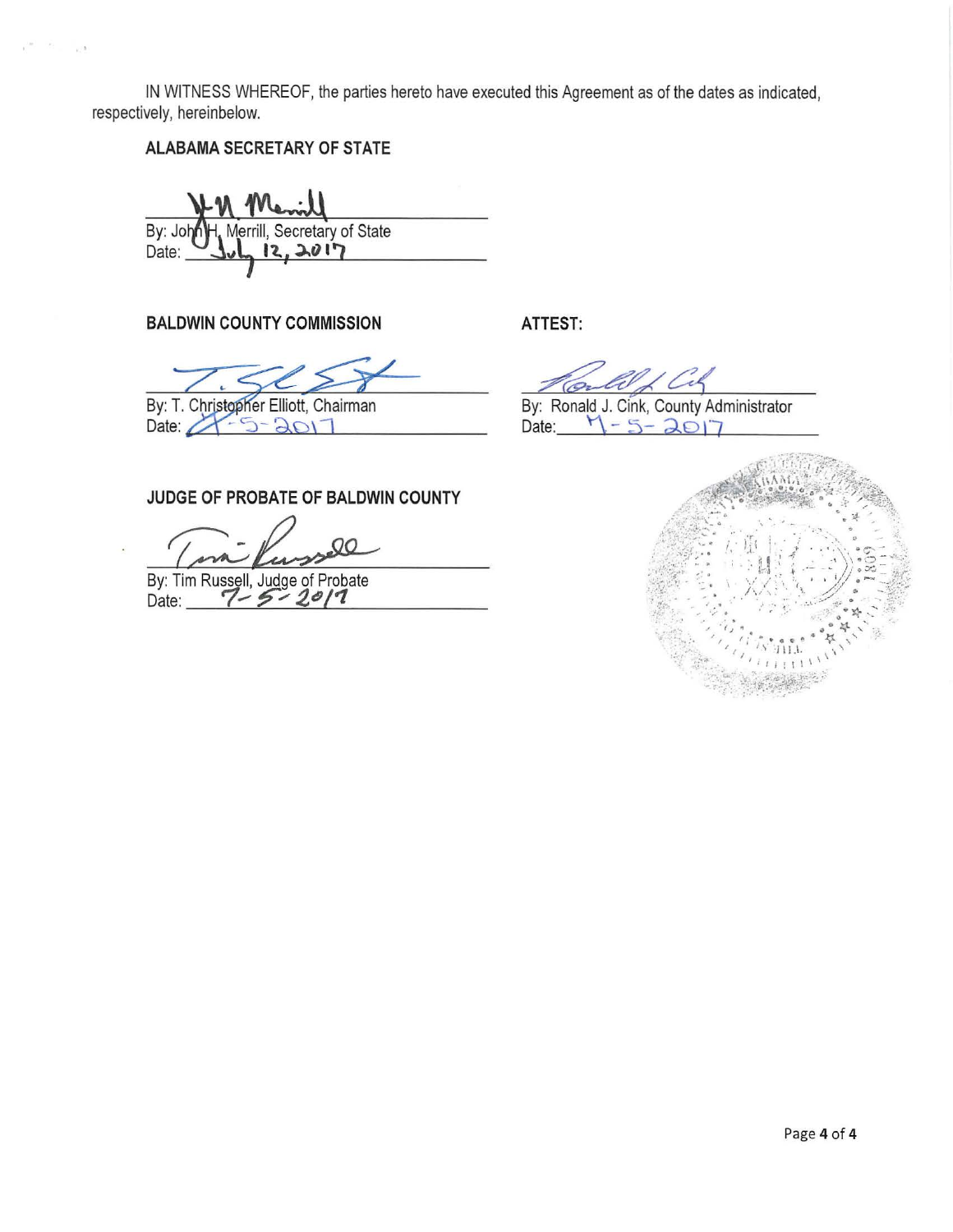IN WITNESS WHEREOF, the parties hereto have executed this Agreement as of the dates as indicated, respectively, hereinbelow.

**ALABAMA SECRETARY OF STATE** 

By: John H. Merrill, Secretary of State<br>Date: **July 12, 2017**  $12.2017$ 

**BALDWIN COUNTY COMMISSION ATTEST:** 

By: T. Christopher Elliott, Chairman Date:  $25 - 3017$ 

Cil

By: Ronald J. Cink, County Administrator<br>Date:  $\begin{bmatrix} 1 & 5 \\ 2 & 1 \end{bmatrix}$  $-5 - 201$ 

# **JUDGE OF PROBATE OF BALDWIN COUNTY**

( in Kussell

By: Tim Russell, Judge of Probate<br>Date: **11-5-2011** 

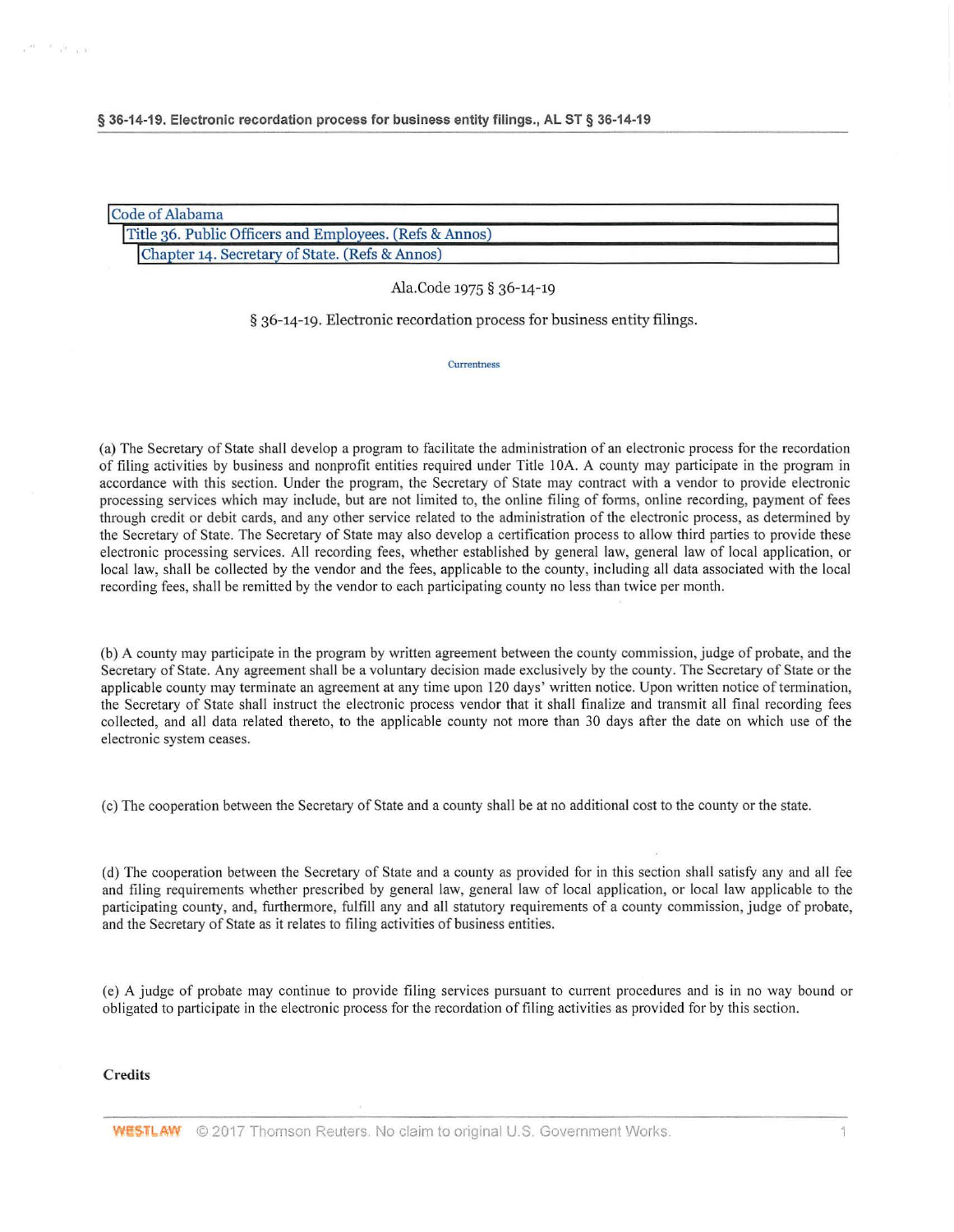| Code of Alabama                                         |  |
|---------------------------------------------------------|--|
| Title 36. Public Officers and Employees. (Refs & Annos) |  |
| Chapter 14. Secretary of State. (Refs & Annos)          |  |

Ala.Code 1975 § 36-14-19

§ 36-14-19. Electronic recordation process for business entity filings.

**Currentness** 

(a) The Secretary of State shall develop a program to facilitate the administration of an e lectronic process for the recordation of filing activities by business and nonprofit entities required under Title I OA. A county may participate in the program in accordance with this section. Under the program, the Secretary of State may contract with a vendor to provide electronic processing services which may include, but are not limited to, the online filing of forms, online recording, payment of fees through credit or debit cards, and any other service related to the administration of the electronic process, as determined by the Secretary of State. The Secretary of State may also develop a certification process to allow third parties to provide these e lectronic processing services. All recording fees, whether established by general law, general law of local application, or local law, shall be collected by the vendor and the fees, applicable to the county, including all data associated with the local recording fees, shall be remitted by the vendor to each participating county no less than twice per month.

(b) A county may participate in the program by written agreement between the county commission, judge of probate, and the Secretary of State. Any agreement shall be a voluntary decision made exclusively by the county. The Secretary of State or the applicable county may terminate an agreement at any time upon 120 days' written notice. Upon written notice of termination, the Secretary of State shall instruct the electronic process vendor that it shall finalize and transmit all final recording fees collected, and all data related thereto, to the applicable county not more than 30 days after the date on which use of the e lectronic system ceases.

(c) The cooperation between the Secretary of State and a county shall be at no additional cost to the county or the state.

(d) The cooperation between the Secretary of State and a county as provided for in this section shall satisfy any and all fee and filing requirements whether prescribed by general law, general law of local application, or local law applicable to the participating county, and, furthermore, fulfill any and all statutory requirements of a county commission, judge of probate, and the Secretary of State as it relates to filing activities of business entities.

(e) A judge of probate may continue to provide filing services pursuant to current procedures and is in no way bound or obligated to participate in the electronic process for the recordation of filing activities as provided for by this section.

#### **Credits**

 $\kappa^{\rm O(K)} = \overline{K} \cdot \frac{1}{\lambda^{\rm O}} \cdot \frac{1}{\lambda^{\rm O}(1)}$